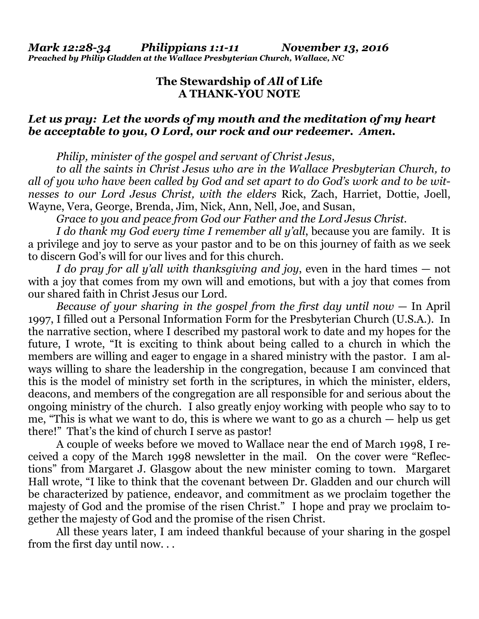## **The Stewardship of** *All* **of Life A THANK-YOU NOTE**

## *Let us pray: Let the words of my mouth and the meditation of my heart be acceptable to you, O Lord, our rock and our redeemer. Amen.*

*Philip, minister of the gospel and servant of Christ Jesus*,

*to all the saints in Christ Jesus who are in the Wallace Presbyterian Church, to all of you who have been called by God and set apart to do God's work and to be witnesses to our Lord Jesus Christ, with the elders* Rick, Zach, Harriet, Dottie, Joell, Wayne, Vera, George, Brenda, Jim, Nick, Ann, Nell, Joe, and Susan,

*Grace to you and peace from God our Father and the Lord Jesus Christ.*

*I do thank my God every time I remember all y'all*, because you are family. It is a privilege and joy to serve as your pastor and to be on this journey of faith as we seek to discern God's will for our lives and for this church.

*I do pray for all y'all with thanksgiving and joy*, even in the hard times — not with a joy that comes from my own will and emotions, but with a joy that comes from our shared faith in Christ Jesus our Lord.

*Because of your sharing in the gospel from the first day until now* — In April 1997, I filled out a Personal Information Form for the Presbyterian Church (U.S.A.). In the narrative section, where I described my pastoral work to date and my hopes for the future, I wrote, "It is exciting to think about being called to a church in which the members are willing and eager to engage in a shared ministry with the pastor. I am always willing to share the leadership in the congregation, because I am convinced that this is the model of ministry set forth in the scriptures, in which the minister, elders, deacons, and members of the congregation are all responsible for and serious about the ongoing ministry of the church. I also greatly enjoy working with people who say to to me, "This is what we want to do, this is where we want to go as a church — help us get there!" That's the kind of church I serve as pastor!

 A couple of weeks before we moved to Wallace near the end of March 1998, I received a copy of the March 1998 newsletter in the mail. On the cover were "Reflections" from Margaret J. Glasgow about the new minister coming to town. Margaret Hall wrote, "I like to think that the covenant between Dr. Gladden and our church will be characterized by patience, endeavor, and commitment as we proclaim together the majesty of God and the promise of the risen Christ." I hope and pray we proclaim together the majesty of God and the promise of the risen Christ.

 All these years later, I am indeed thankful because of your sharing in the gospel from the first day until now. . .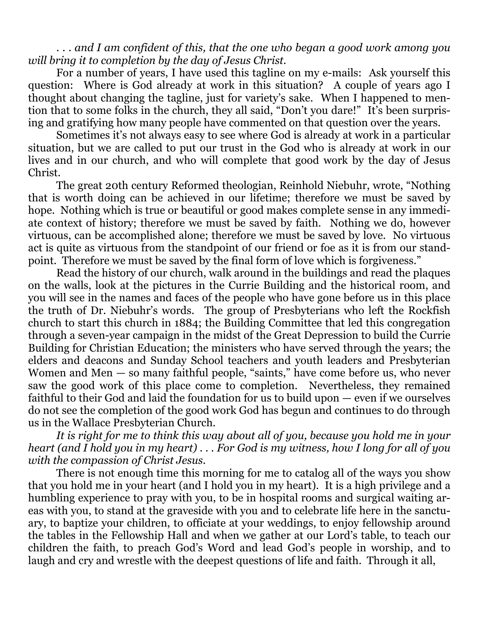. . . *and I am confident of this, that the one who began a good work among you will bring it to completion by the day of Jesus Christ.*

 For a number of years, I have used this tagline on my e-mails: Ask yourself this question: Where is God already at work in this situation? A couple of years ago I thought about changing the tagline, just for variety's sake. When I happened to mention that to some folks in the church, they all said, "Don't you dare!" It's been surprising and gratifying how many people have commented on that question over the years.

 Sometimes it's not always easy to see where God is already at work in a particular situation, but we are called to put our trust in the God who is already at work in our lives and in our church, and who will complete that good work by the day of Jesus Christ.

 The great 20th century Reformed theologian, Reinhold Niebuhr, wrote, "Nothing that is worth doing can be achieved in our lifetime; therefore we must be saved by hope. Nothing which is true or beautiful or good makes complete sense in any immediate context of history; therefore we must be saved by faith. Nothing we do, however virtuous, can be accomplished alone; therefore we must be saved by love. No virtuous act is quite as virtuous from the standpoint of our friend or foe as it is from our standpoint. Therefore we must be saved by the final form of love which is forgiveness."

 Read the history of our church, walk around in the buildings and read the plaques on the walls, look at the pictures in the Currie Building and the historical room, and you will see in the names and faces of the people who have gone before us in this place the truth of Dr. Niebuhr's words. The group of Presbyterians who left the Rockfish church to start this church in 1884; the Building Committee that led this congregation through a seven-year campaign in the midst of the Great Depression to build the Currie Building for Christian Education; the ministers who have served through the years; the elders and deacons and Sunday School teachers and youth leaders and Presbyterian Women and Men — so many faithful people, "saints," have come before us, who never saw the good work of this place come to completion. Nevertheless, they remained faithful to their God and laid the foundation for us to build upon — even if we ourselves do not see the completion of the good work God has begun and continues to do through us in the Wallace Presbyterian Church.

*It is right for me to think this way about all of you, because you hold me in your heart (and I hold you in my heart) . . . For God is my witness, how I long for all of you with the compassion of Christ Jesus.*

There is not enough time this morning for me to catalog all of the ways you show that you hold me in your heart (and I hold you in my heart). It is a high privilege and a humbling experience to pray with you, to be in hospital rooms and surgical waiting areas with you, to stand at the graveside with you and to celebrate life here in the sanctuary, to baptize your children, to officiate at your weddings, to enjoy fellowship around the tables in the Fellowship Hall and when we gather at our Lord's table, to teach our children the faith, to preach God's Word and lead God's people in worship, and to laugh and cry and wrestle with the deepest questions of life and faith. Through it all,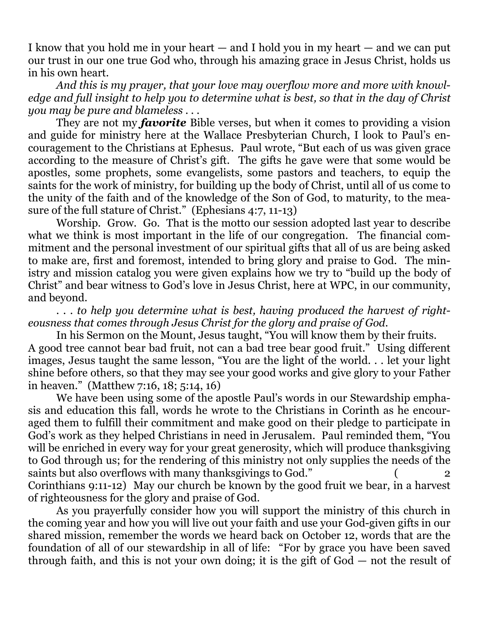I know that you hold me in your heart — and I hold you in my heart — and we can put our trust in our one true God who, through his amazing grace in Jesus Christ, holds us in his own heart.

*And this is my prayer, that your love may overflow more and more with knowledge and full insight to help you to determine what is best, so that in the day of Christ you may be pure and blameless . . .*

They are not my *favorite* Bible verses, but when it comes to providing a vision and guide for ministry here at the Wallace Presbyterian Church, I look to Paul's encouragement to the Christians at Ephesus. Paul wrote, "But each of us was given grace according to the measure of Christ's gift. The gifts he gave were that some would be apostles, some prophets, some evangelists, some pastors and teachers, to equip the saints for the work of ministry, for building up the body of Christ, until all of us come to the unity of the faith and of the knowledge of the Son of God, to maturity, to the measure of the full stature of Christ." (Ephesians 4:7, 11-13)

 Worship. Grow. Go. That is the motto our session adopted last year to describe what we think is most important in the life of our congregation. The financial commitment and the personal investment of our spiritual gifts that all of us are being asked to make are, first and foremost, intended to bring glory and praise to God. The ministry and mission catalog you were given explains how we try to "build up the body of Christ" and bear witness to God's love in Jesus Christ, here at WPC, in our community, and beyond.

*. . . to help you determine what is best, having produced the harvest of righteousness that comes through Jesus Christ for the glory and praise of God.*

In his Sermon on the Mount, Jesus taught, "You will know them by their fruits. A good tree cannot bear bad fruit, not can a bad tree bear good fruit." Using different images, Jesus taught the same lesson, "You are the light of the world. . . let your light shine before others, so that they may see your good works and give glory to your Father in heaven." (Matthew 7:16, 18; 5:14, 16)

 We have been using some of the apostle Paul's words in our Stewardship emphasis and education this fall, words he wrote to the Christians in Corinth as he encouraged them to fulfill their commitment and make good on their pledge to participate in God's work as they helped Christians in need in Jerusalem. Paul reminded them, "You will be enriched in every way for your great generosity, which will produce thanksgiving to God through us; for the rendering of this ministry not only supplies the needs of the saints but also overflows with many thanksgivings to God." Corinthians 9:11-12) May our church be known by the good fruit we bear, in a harvest of righteousness for the glory and praise of God.

 As you prayerfully consider how you will support the ministry of this church in the coming year and how you will live out your faith and use your God-given gifts in our shared mission, remember the words we heard back on October 12, words that are the foundation of all of our stewardship in all of life: "For by grace you have been saved through faith, and this is not your own doing; it is the gift of God — not the result of